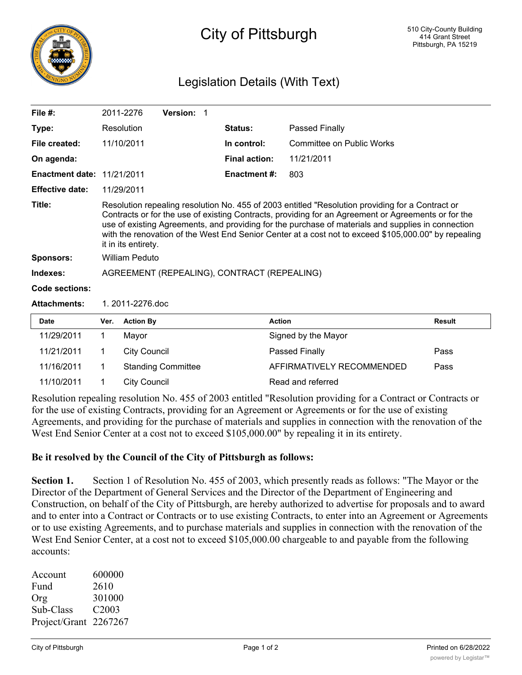

## City of Pittsburgh

## Legislation Details (With Text)

| File $#$ :                        |                                                                                                                                                                                                                                                                                                                                                                                                                                              | 2011-2276           | Version: 1                |                      |                           |               |
|-----------------------------------|----------------------------------------------------------------------------------------------------------------------------------------------------------------------------------------------------------------------------------------------------------------------------------------------------------------------------------------------------------------------------------------------------------------------------------------------|---------------------|---------------------------|----------------------|---------------------------|---------------|
| Type:                             |                                                                                                                                                                                                                                                                                                                                                                                                                                              | Resolution          |                           | Status:              | <b>Passed Finally</b>     |               |
| File created:                     |                                                                                                                                                                                                                                                                                                                                                                                                                                              | 11/10/2011          |                           | In control:          | Committee on Public Works |               |
| On agenda:                        |                                                                                                                                                                                                                                                                                                                                                                                                                                              |                     |                           | <b>Final action:</b> | 11/21/2011                |               |
| <b>Enactment date: 11/21/2011</b> |                                                                                                                                                                                                                                                                                                                                                                                                                                              |                     |                           | <b>Enactment #:</b>  | 803                       |               |
| <b>Effective date:</b>            |                                                                                                                                                                                                                                                                                                                                                                                                                                              | 11/29/2011          |                           |                      |                           |               |
| Title:                            | Resolution repealing resolution No. 455 of 2003 entitled "Resolution providing for a Contract or<br>Contracts or for the use of existing Contracts, providing for an Agreement or Agreements or for the<br>use of existing Agreements, and providing for the purchase of materials and supplies in connection<br>with the renovation of the West End Senior Center at a cost not to exceed \$105,000.00" by repealing<br>it in its entirety. |                     |                           |                      |                           |               |
| <b>Sponsors:</b>                  | <b>William Peduto</b>                                                                                                                                                                                                                                                                                                                                                                                                                        |                     |                           |                      |                           |               |
| Indexes:                          | AGREEMENT (REPEALING), CONTRACT (REPEALING)                                                                                                                                                                                                                                                                                                                                                                                                  |                     |                           |                      |                           |               |
| Code sections:                    |                                                                                                                                                                                                                                                                                                                                                                                                                                              |                     |                           |                      |                           |               |
| <b>Attachments:</b>               | 1.2011-2276.doc                                                                                                                                                                                                                                                                                                                                                                                                                              |                     |                           |                      |                           |               |
| <b>Date</b>                       | Ver.                                                                                                                                                                                                                                                                                                                                                                                                                                         | <b>Action By</b>    |                           |                      | <b>Action</b>             | <b>Result</b> |
| 11/29/2011                        | 1                                                                                                                                                                                                                                                                                                                                                                                                                                            | Mayor               |                           |                      | Signed by the Mayor       |               |
| 11/21/2011                        | 1                                                                                                                                                                                                                                                                                                                                                                                                                                            | <b>City Council</b> |                           |                      | Passed Finally            | Pass          |
| 11/16/2011                        | 1                                                                                                                                                                                                                                                                                                                                                                                                                                            |                     | <b>Standing Committee</b> |                      | AFFIRMATIVELY RECOMMENDED | Pass          |
| 11/10/2011                        | 1                                                                                                                                                                                                                                                                                                                                                                                                                                            | <b>City Council</b> |                           |                      | Read and referred         |               |

Resolution repealing resolution No. 455 of 2003 entitled "Resolution providing for a Contract or Contracts or for the use of existing Contracts, providing for an Agreement or Agreements or for the use of existing Agreements, and providing for the purchase of materials and supplies in connection with the renovation of the West End Senior Center at a cost not to exceed \$105,000.00" by repealing it in its entirety.

## **Be it resolved by the Council of the City of Pittsburgh as follows:**

**Section 1.** Section 1 of Resolution No. 455 of 2003, which presently reads as follows: "The Mayor or the Director of the Department of General Services and the Director of the Department of Engineering and Construction, on behalf of the City of Pittsburgh, are hereby authorized to advertise for proposals and to award and to enter into a Contract or Contracts or to use existing Contracts, to enter into an Agreement or Agreements or to use existing Agreements, and to purchase materials and supplies in connection with the renovation of the West End Senior Center, at a cost not to exceed \$105,000.00 chargeable to and payable from the following accounts:

| Account               | 600000            |
|-----------------------|-------------------|
| Fund                  | 2610              |
| Org                   | 301000            |
| Sub-Class             | C <sub>2003</sub> |
| Project/Grant 2267267 |                   |